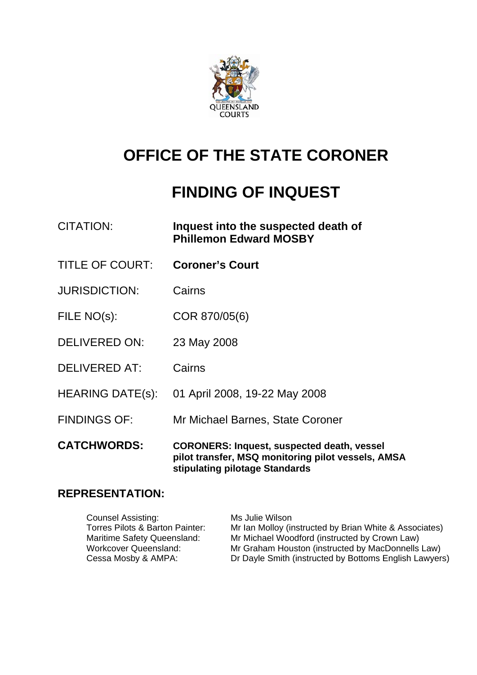

# **OFFICE OF THE STATE CORONER**

# **FINDING OF INQUEST**

| <b>CITATION:</b>        | Inquest into the suspected death of<br><b>Phillemon Edward MOSBY</b>                                                                      |
|-------------------------|-------------------------------------------------------------------------------------------------------------------------------------------|
| <b>TITLE OF COURT:</b>  | <b>Coroner's Court</b>                                                                                                                    |
| <b>JURISDICTION:</b>    | Cairns                                                                                                                                    |
| FILE NO(s):             | COR 870/05(6)                                                                                                                             |
| <b>DELIVERED ON:</b>    | 23 May 2008                                                                                                                               |
| <b>DELIVERED AT:</b>    | Cairns                                                                                                                                    |
| <b>HEARING DATE(s):</b> | 01 April 2008, 19-22 May 2008                                                                                                             |
| <b>FINDINGS OF:</b>     | Mr Michael Barnes, State Coroner                                                                                                          |
| <b>CATCHWORDS:</b>      | <b>CORONERS: Inquest, suspected death, vessel</b><br>pilot transfer, MSQ monitoring pilot vessels, AMSA<br>stipulating pilotage Standards |

## **REPRESENTATION:**

| <b>Counsel Assisting:</b>       | Ms Julie Wilson                                        |
|---------------------------------|--------------------------------------------------------|
| Torres Pilots & Barton Painter: | Mr Ian Molloy (instructed by Brian White & Associates) |
| Maritime Safety Queensland:     | Mr Michael Woodford (instructed by Crown Law)          |
| Workcover Queensland:           | Mr Graham Houston (instructed by MacDonnells Law)      |
| Cessa Mosby & AMPA:             | Dr Dayle Smith (instructed by Bottoms English Lawyers) |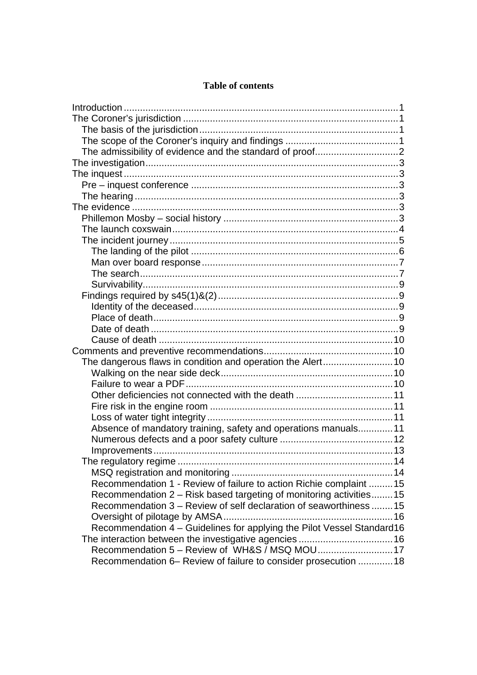## **Table of contents**

| Absence of mandatory training, safety and operations manuals11         |  |
|------------------------------------------------------------------------|--|
|                                                                        |  |
|                                                                        |  |
|                                                                        |  |
|                                                                        |  |
| Recommendation 1 - Review of failure to action Richie complaint  15    |  |
| Recommendation 2 - Risk based targeting of monitoring activities15     |  |
| Recommendation 3 – Review of self declaration of seaworthiness 15      |  |
|                                                                        |  |
| Recommendation 4 - Guidelines for applying the Pilot Vessel Standard16 |  |
|                                                                        |  |
| Recommendation 5 - Review of WH&S / MSQ MOU 17                         |  |
| Recommendation 6- Review of failure to consider prosecution  18        |  |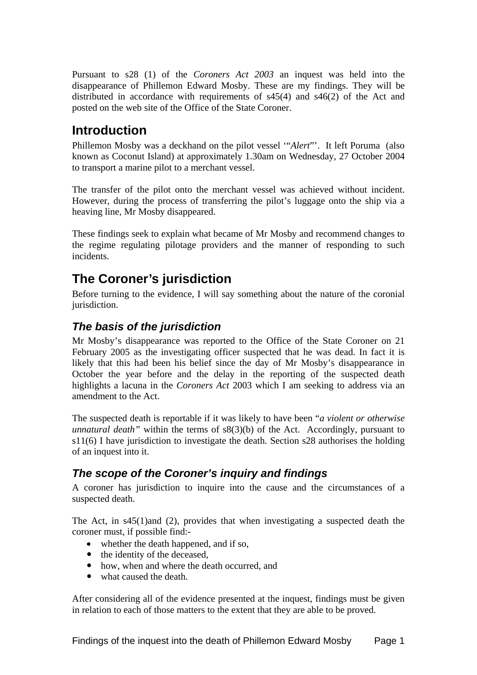<span id="page-2-0"></span>Pursuant to s28 (1) of the *Coroners Act 2003* an inquest was held into the disappearance of Phillemon Edward Mosby. These are my findings. They will be distributed in accordance with requirements of s45(4) and s46(2) of the Act and posted on the web site of the Office of the State Coroner.

## **Introduction**

Phillemon Mosby was a deckhand on the pilot vessel '"*Alert*"'. It left Poruma (also known as Coconut Island) at approximately 1.30am on Wednesday, 27 October 2004 to transport a marine pilot to a merchant vessel.

The transfer of the pilot onto the merchant vessel was achieved without incident. However, during the process of transferring the pilot's luggage onto the ship via a heaving line, Mr Mosby disappeared.

These findings seek to explain what became of Mr Mosby and recommend changes to the regime regulating pilotage providers and the manner of responding to such incidents.

## **The Coroner's jurisdiction**

Before turning to the evidence, I will say something about the nature of the coronial jurisdiction.

## *The basis of the jurisdiction*

Mr Mosby's disappearance was reported to the Office of the State Coroner on 21 February 2005 as the investigating officer suspected that he was dead. In fact it is likely that this had been his belief since the day of Mr Mosby's disappearance in October the year before and the delay in the reporting of the suspected death highlights a lacuna in the *Coroners Act* 2003 which I am seeking to address via an amendment to the Act.

The suspected death is reportable if it was likely to have been "*a violent or otherwise unnatural death*" within the terms of  $s8(3)(b)$  of the Act. Accordingly, pursuant to s11(6) I have jurisdiction to investigate the death. Section s28 authorises the holding of an inquest into it.

## *The scope of the Coroner's inquiry and findings*

A coroner has jurisdiction to inquire into the cause and the circumstances of a suspected death.

The Act, in s45(1)and (2), provides that when investigating a suspected death the coroner must, if possible find:-

- whether the death happened, and if so,
- the identity of the deceased,
- how, when and where the death occurred, and
- what caused the death.

After considering all of the evidence presented at the inquest, findings must be given in relation to each of those matters to the extent that they are able to be proved.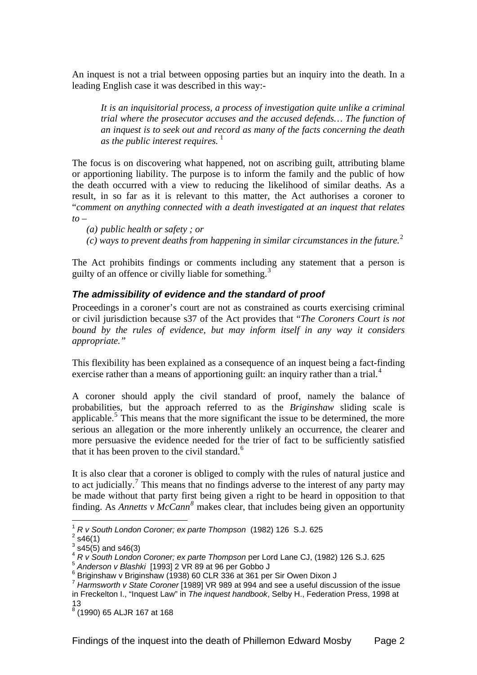<span id="page-3-0"></span>An inquest is not a trial between opposing parties but an inquiry into the death. In a leading English case it was described in this way:-

*It is an inquisitorial process, a process of investigation quite unlike a criminal trial where the prosecutor accuses and the accused defends… The function of an inquest is to seek out and record as many of the facts concerning the death as the public interest requires.*<sup>[1](#page-3-1)</sup>

The focus is on discovering what happened, not on ascribing guilt, attributing blame or apportioning liability. The purpose is to inform the family and the public of how the death occurred with a view to reducing the likelihood of similar deaths. As a result, in so far as it is relevant to this matter, the Act authorises a coroner to "*comment on anything connected with a death investigated at an inquest that relates to* –

*(a) public health or safety ; or* 

*(c) ways to prevent deaths from happening in similar circumstances in the future.*[2](#page-3-2)

The Act prohibits findings or comments including any statement that a person is guilty of an offence or civilly liable for something.<sup>[3](#page-3-3)</sup>

### *The admissibility of evidence and the standard of proof*

Proceedings in a coroner's court are not as constrained as courts exercising criminal or civil jurisdiction because s37 of the Act provides that "*The Coroners Court is not bound by the rules of evidence, but may inform itself in any way it considers appropriate."*

This flexibility has been explained as a consequence of an inquest being a fact-finding exercise rather than a means of apportioning guilt: an inquiry rather than a trial.<sup>[4](#page-3-4)</sup>

A coroner should apply the civil standard of proof, namely the balance of probabilities, but the approach referred to as the *Briginshaw* sliding scale is applicable.<sup>[5](#page-3-5)</sup> This means that the more significant the issue to be determined, the more serious an allegation or the more inherently unlikely an occurrence, the clearer and more persuasive the evidence needed for the trier of fact to be sufficiently satisfied that it has been proven to the civil standard.<sup>[6](#page-3-6)</sup>

It is also clear that a coroner is obliged to comply with the rules of natural justice and to act judicially.<sup>[7](#page-3-7)</sup> This means that no findings adverse to the interest of any party may be made without that party first being given a right to be heard in opposition to that finding. As *Annetts v McCann*<sup>[8](#page-3-8)</sup> makes clear, that includes being given an opportunity

1

<sup>1</sup> *R v South London Coroner; ex parte Thompson* (1982) 126 S.J. 625 2

<span id="page-3-2"></span><span id="page-3-1"></span> $2$  s46(1)

 $3$  s45(5) and s46(3)

<span id="page-3-4"></span><span id="page-3-3"></span><sup>4</sup> *R v South London Coroner; ex parte Thompson* per Lord Lane CJ, (1982) 126 S.J. 625

<span id="page-3-5"></span><sup>5</sup> *Anderson v Blashki* [1993] 2 VR 89 at 96 per Gobbo J 6

<span id="page-3-6"></span> $6$  Briginshaw v Briginshaw (1938) 60 CLR 336 at 361 per Sir Owen Dixon J

<span id="page-3-7"></span><sup>7</sup> *Harmsworth v State Coroner* [1989] VR 989 at 994 and see a useful discussion of the issue in Freckelton I., "Inquest Law" in *The inquest handbook*, Selby H., Federation Press, 1998 at 13

<span id="page-3-8"></span><sup>8</sup> (1990) 65 ALJR 167 at 168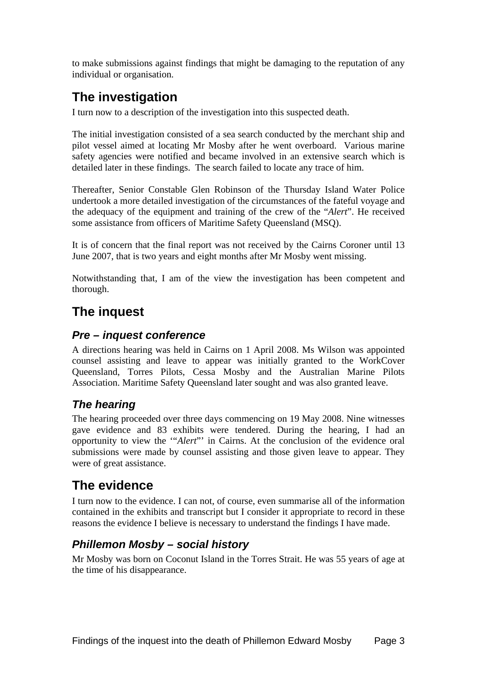<span id="page-4-0"></span>to make submissions against findings that might be damaging to the reputation of any individual or organisation.

## **The investigation**

I turn now to a description of the investigation into this suspected death.

The initial investigation consisted of a sea search conducted by the merchant ship and pilot vessel aimed at locating Mr Mosby after he went overboard. Various marine safety agencies were notified and became involved in an extensive search which is detailed later in these findings. The search failed to locate any trace of him.

Thereafter, Senior Constable Glen Robinson of the Thursday Island Water Police undertook a more detailed investigation of the circumstances of the fateful voyage and the adequacy of the equipment and training of the crew of the "*Alert*". He received some assistance from officers of Maritime Safety Queensland (MSQ).

It is of concern that the final report was not received by the Cairns Coroner until 13 June 2007, that is two years and eight months after Mr Mosby went missing.

Notwithstanding that, I am of the view the investigation has been competent and thorough.

## **The inquest**

## *Pre – inquest conference*

A directions hearing was held in Cairns on 1 April 2008. Ms Wilson was appointed counsel assisting and leave to appear was initially granted to the WorkCover Queensland, Torres Pilots, Cessa Mosby and the Australian Marine Pilots Association. Maritime Safety Queensland later sought and was also granted leave.

## *The hearing*

The hearing proceeded over three days commencing on 19 May 2008. Nine witnesses gave evidence and 83 exhibits were tendered. During the hearing, I had an opportunity to view the '"*Alert*"' in Cairns. At the conclusion of the evidence oral submissions were made by counsel assisting and those given leave to appear. They were of great assistance.

## **The evidence**

I turn now to the evidence. I can not, of course, even summarise all of the information contained in the exhibits and transcript but I consider it appropriate to record in these reasons the evidence I believe is necessary to understand the findings I have made.

## *Phillemon Mosby – social history*

Mr Mosby was born on Coconut Island in the Torres Strait. He was 55 years of age at the time of his disappearance.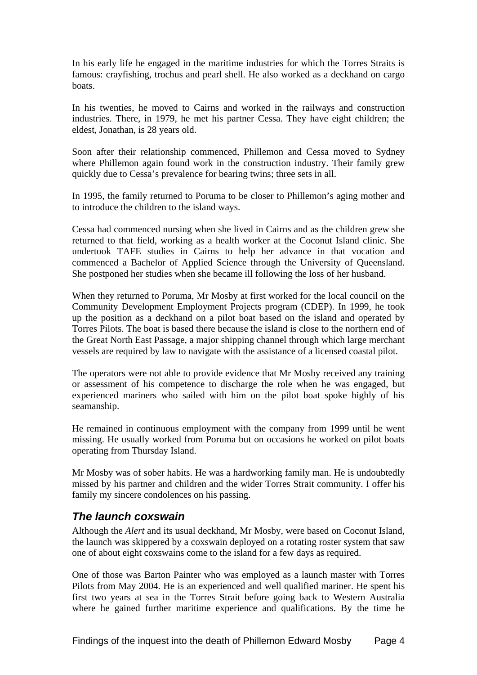<span id="page-5-0"></span>In his early life he engaged in the maritime industries for which the Torres Straits is famous: crayfishing, trochus and pearl shell. He also worked as a deckhand on cargo boats.

In his twenties, he moved to Cairns and worked in the railways and construction industries. There, in 1979, he met his partner Cessa. They have eight children; the eldest, Jonathan, is 28 years old.

Soon after their relationship commenced, Phillemon and Cessa moved to Sydney where Phillemon again found work in the construction industry. Their family grew quickly due to Cessa's prevalence for bearing twins; three sets in all.

In 1995, the family returned to Poruma to be closer to Phillemon's aging mother and to introduce the children to the island ways.

Cessa had commenced nursing when she lived in Cairns and as the children grew she returned to that field, working as a health worker at the Coconut Island clinic. She undertook TAFE studies in Cairns to help her advance in that vocation and commenced a Bachelor of Applied Science through the University of Queensland. She postponed her studies when she became ill following the loss of her husband.

When they returned to Poruma, Mr Mosby at first worked for the local council on the Community Development Employment Projects program (CDEP). In 1999, he took up the position as a deckhand on a pilot boat based on the island and operated by Torres Pilots. The boat is based there because the island is close to the northern end of the Great North East Passage, a major shipping channel through which large merchant vessels are required by law to navigate with the assistance of a licensed coastal pilot.

The operators were not able to provide evidence that Mr Mosby received any training or assessment of his competence to discharge the role when he was engaged, but experienced mariners who sailed with him on the pilot boat spoke highly of his seamanship.

He remained in continuous employment with the company from 1999 until he went missing. He usually worked from Poruma but on occasions he worked on pilot boats operating from Thursday Island.

Mr Mosby was of sober habits. He was a hardworking family man. He is undoubtedly missed by his partner and children and the wider Torres Strait community. I offer his family my sincere condolences on his passing.

## *The launch coxswain*

Although the *Alert* and its usual deckhand, Mr Mosby, were based on Coconut Island, the launch was skippered by a coxswain deployed on a rotating roster system that saw one of about eight coxswains come to the island for a few days as required.

One of those was Barton Painter who was employed as a launch master with Torres Pilots from May 2004. He is an experienced and well qualified mariner. He spent his first two years at sea in the Torres Strait before going back to Western Australia where he gained further maritime experience and qualifications. By the time he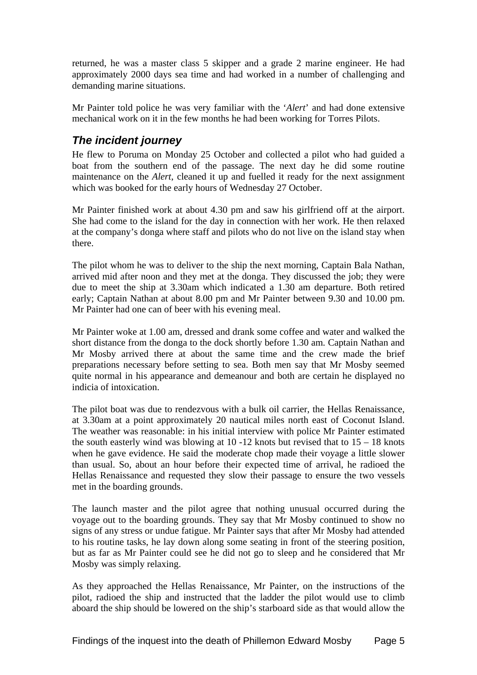<span id="page-6-0"></span>returned, he was a master class 5 skipper and a grade 2 marine engineer. He had approximately 2000 days sea time and had worked in a number of challenging and demanding marine situations.

Mr Painter told police he was very familiar with the '*Alert*' and had done extensive mechanical work on it in the few months he had been working for Torres Pilots.

## *The incident journey*

He flew to Poruma on Monday 25 October and collected a pilot who had guided a boat from the southern end of the passage. The next day he did some routine maintenance on the *Alert*, cleaned it up and fuelled it ready for the next assignment which was booked for the early hours of Wednesday 27 October.

Mr Painter finished work at about 4.30 pm and saw his girlfriend off at the airport. She had come to the island for the day in connection with her work. He then relaxed at the company's donga where staff and pilots who do not live on the island stay when there.

The pilot whom he was to deliver to the ship the next morning, Captain Bala Nathan, arrived mid after noon and they met at the donga. They discussed the job; they were due to meet the ship at 3.30am which indicated a 1.30 am departure. Both retired early; Captain Nathan at about 8.00 pm and Mr Painter between 9.30 and 10.00 pm. Mr Painter had one can of beer with his evening meal.

Mr Painter woke at 1.00 am, dressed and drank some coffee and water and walked the short distance from the donga to the dock shortly before 1.30 am. Captain Nathan and Mr Mosby arrived there at about the same time and the crew made the brief preparations necessary before setting to sea. Both men say that Mr Mosby seemed quite normal in his appearance and demeanour and both are certain he displayed no indicia of intoxication.

The pilot boat was due to rendezvous with a bulk oil carrier, the Hellas Renaissance, at 3.30am at a point approximately 20 nautical miles north east of Coconut Island. The weather was reasonable: in his initial interview with police Mr Painter estimated the south easterly wind was blowing at  $10 - 12$  knots but revised that to  $15 - 18$  knots when he gave evidence. He said the moderate chop made their voyage a little slower than usual. So, about an hour before their expected time of arrival, he radioed the Hellas Renaissance and requested they slow their passage to ensure the two vessels met in the boarding grounds.

The launch master and the pilot agree that nothing unusual occurred during the voyage out to the boarding grounds. They say that Mr Mosby continued to show no signs of any stress or undue fatigue. Mr Painter says that after Mr Mosby had attended to his routine tasks, he lay down along some seating in front of the steering position, but as far as Mr Painter could see he did not go to sleep and he considered that Mr Mosby was simply relaxing.

As they approached the Hellas Renaissance, Mr Painter, on the instructions of the pilot, radioed the ship and instructed that the ladder the pilot would use to climb aboard the ship should be lowered on the ship's starboard side as that would allow the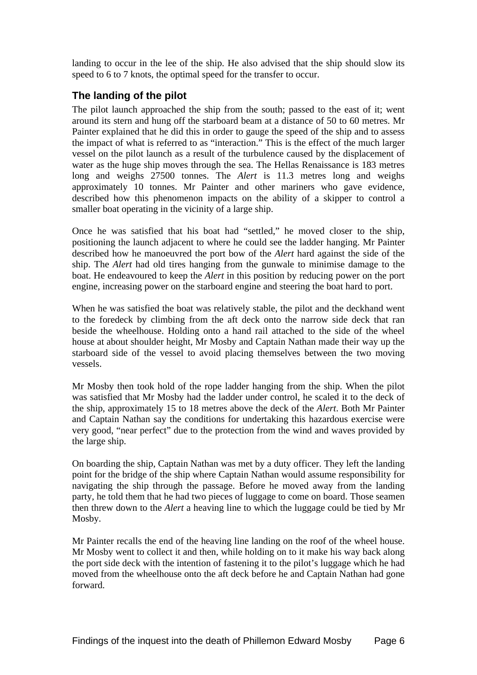<span id="page-7-0"></span>landing to occur in the lee of the ship. He also advised that the ship should slow its speed to 6 to 7 knots, the optimal speed for the transfer to occur.

## **The landing of the pilot**

The pilot launch approached the ship from the south; passed to the east of it; went around its stern and hung off the starboard beam at a distance of 50 to 60 metres. Mr Painter explained that he did this in order to gauge the speed of the ship and to assess the impact of what is referred to as "interaction." This is the effect of the much larger vessel on the pilot launch as a result of the turbulence caused by the displacement of water as the huge ship moves through the sea. The Hellas Renaissance is 183 metres long and weighs 27500 tonnes. The *Alert* is 11.3 metres long and weighs approximately 10 tonnes. Mr Painter and other mariners who gave evidence, described how this phenomenon impacts on the ability of a skipper to control a smaller boat operating in the vicinity of a large ship.

Once he was satisfied that his boat had "settled," he moved closer to the ship, positioning the launch adjacent to where he could see the ladder hanging. Mr Painter described how he manoeuvred the port bow of the *Alert* hard against the side of the ship. The *Alert* had old tires hanging from the gunwale to minimise damage to the boat. He endeavoured to keep the *Alert* in this position by reducing power on the port engine, increasing power on the starboard engine and steering the boat hard to port.

When he was satisfied the boat was relatively stable, the pilot and the deckhand went to the foredeck by climbing from the aft deck onto the narrow side deck that ran beside the wheelhouse. Holding onto a hand rail attached to the side of the wheel house at about shoulder height, Mr Mosby and Captain Nathan made their way up the starboard side of the vessel to avoid placing themselves between the two moving vessels.

Mr Mosby then took hold of the rope ladder hanging from the ship. When the pilot was satisfied that Mr Mosby had the ladder under control, he scaled it to the deck of the ship, approximately 15 to 18 metres above the deck of the *Alert*. Both Mr Painter and Captain Nathan say the conditions for undertaking this hazardous exercise were very good, "near perfect" due to the protection from the wind and waves provided by the large ship.

On boarding the ship, Captain Nathan was met by a duty officer. They left the landing point for the bridge of the ship where Captain Nathan would assume responsibility for navigating the ship through the passage. Before he moved away from the landing party, he told them that he had two pieces of luggage to come on board. Those seamen then threw down to the *Alert* a heaving line to which the luggage could be tied by Mr Mosby.

Mr Painter recalls the end of the heaving line landing on the roof of the wheel house. Mr Mosby went to collect it and then, while holding on to it make his way back along the port side deck with the intention of fastening it to the pilot's luggage which he had moved from the wheelhouse onto the aft deck before he and Captain Nathan had gone forward.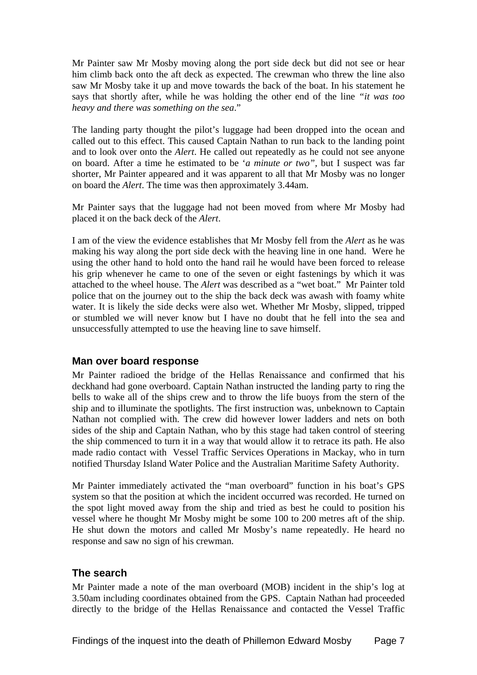<span id="page-8-0"></span>Mr Painter saw Mr Mosby moving along the port side deck but did not see or hear him climb back onto the aft deck as expected. The crewman who threw the line also saw Mr Mosby take it up and move towards the back of the boat. In his statement he says that shortly after, while he was holding the other end of the line *"it was too heavy and there was something on the sea*."

The landing party thought the pilot's luggage had been dropped into the ocean and called out to this effect. This caused Captain Nathan to run back to the landing point and to look over onto the *Alert*. He called out repeatedly as he could not see anyone on board. After a time he estimated to be '*a minute or two",* but I suspect was far shorter, Mr Painter appeared and it was apparent to all that Mr Mosby was no longer on board the *Alert*. The time was then approximately 3.44am.

Mr Painter says that the luggage had not been moved from where Mr Mosby had placed it on the back deck of the *Alert*.

I am of the view the evidence establishes that Mr Mosby fell from the *Alert* as he was making his way along the port side deck with the heaving line in one hand. Were he using the other hand to hold onto the hand rail he would have been forced to release his grip whenever he came to one of the seven or eight fastenings by which it was attached to the wheel house. The *Alert* was described as a "wet boat." Mr Painter told police that on the journey out to the ship the back deck was awash with foamy white water. It is likely the side decks were also wet. Whether Mr Mosby, slipped, tripped or stumbled we will never know but I have no doubt that he fell into the sea and unsuccessfully attempted to use the heaving line to save himself.

### **Man over board response**

Mr Painter radioed the bridge of the Hellas Renaissance and confirmed that his deckhand had gone overboard. Captain Nathan instructed the landing party to ring the bells to wake all of the ships crew and to throw the life buoys from the stern of the ship and to illuminate the spotlights. The first instruction was, unbeknown to Captain Nathan not complied with. The crew did however lower ladders and nets on both sides of the ship and Captain Nathan, who by this stage had taken control of steering the ship commenced to turn it in a way that would allow it to retrace its path. He also made radio contact with Vessel Traffic Services Operations in Mackay, who in turn notified Thursday Island Water Police and the Australian Maritime Safety Authority.

Mr Painter immediately activated the "man overboard" function in his boat's GPS system so that the position at which the incident occurred was recorded. He turned on the spot light moved away from the ship and tried as best he could to position his vessel where he thought Mr Mosby might be some 100 to 200 metres aft of the ship. He shut down the motors and called Mr Mosby's name repeatedly. He heard no response and saw no sign of his crewman.

### **The search**

Mr Painter made a note of the man overboard (MOB) incident in the ship's log at 3.50am including coordinates obtained from the GPS. Captain Nathan had proceeded directly to the bridge of the Hellas Renaissance and contacted the Vessel Traffic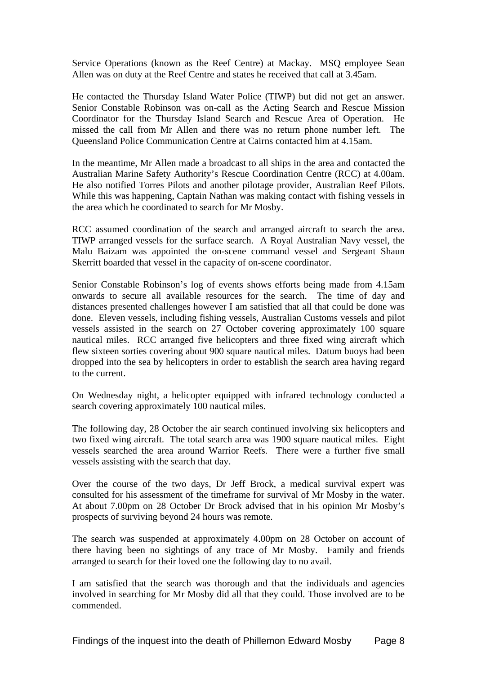Service Operations (known as the Reef Centre) at Mackay. MSQ employee Sean Allen was on duty at the Reef Centre and states he received that call at 3.45am.

He contacted the Thursday Island Water Police (TIWP) but did not get an answer. Senior Constable Robinson was on-call as the Acting Search and Rescue Mission Coordinator for the Thursday Island Search and Rescue Area of Operation. He missed the call from Mr Allen and there was no return phone number left. The Queensland Police Communication Centre at Cairns contacted him at 4.15am.

In the meantime, Mr Allen made a broadcast to all ships in the area and contacted the Australian Marine Safety Authority's Rescue Coordination Centre (RCC) at 4.00am. He also notified Torres Pilots and another pilotage provider, Australian Reef Pilots. While this was happening, Captain Nathan was making contact with fishing vessels in the area which he coordinated to search for Mr Mosby.

RCC assumed coordination of the search and arranged aircraft to search the area. TIWP arranged vessels for the surface search. A Royal Australian Navy vessel, the Malu Baizam was appointed the on-scene command vessel and Sergeant Shaun Skerritt boarded that vessel in the capacity of on-scene coordinator.

Senior Constable Robinson's log of events shows efforts being made from 4.15am onwards to secure all available resources for the search. The time of day and distances presented challenges however I am satisfied that all that could be done was done. Eleven vessels, including fishing vessels, Australian Customs vessels and pilot vessels assisted in the search on 27 October covering approximately 100 square nautical miles. RCC arranged five helicopters and three fixed wing aircraft which flew sixteen sorties covering about 900 square nautical miles. Datum buoys had been dropped into the sea by helicopters in order to establish the search area having regard to the current.

On Wednesday night, a helicopter equipped with infrared technology conducted a search covering approximately 100 nautical miles.

The following day, 28 October the air search continued involving six helicopters and two fixed wing aircraft. The total search area was 1900 square nautical miles. Eight vessels searched the area around Warrior Reefs. There were a further five small vessels assisting with the search that day.

Over the course of the two days, Dr Jeff Brock, a medical survival expert was consulted for his assessment of the timeframe for survival of Mr Mosby in the water. At about 7.00pm on 28 October Dr Brock advised that in his opinion Mr Mosby's prospects of surviving beyond 24 hours was remote.

The search was suspended at approximately 4.00pm on 28 October on account of there having been no sightings of any trace of Mr Mosby. Family and friends arranged to search for their loved one the following day to no avail.

I am satisfied that the search was thorough and that the individuals and agencies involved in searching for Mr Mosby did all that they could. Those involved are to be commended.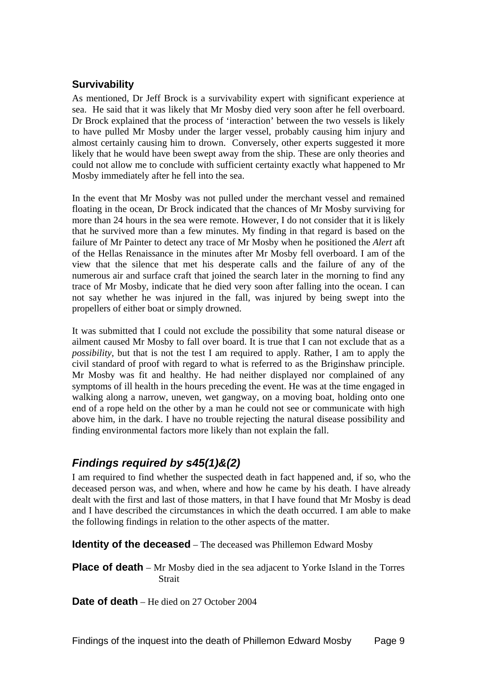## <span id="page-10-0"></span>**Survivability**

As mentioned, Dr Jeff Brock is a survivability expert with significant experience at sea. He said that it was likely that Mr Mosby died very soon after he fell overboard. Dr Brock explained that the process of 'interaction' between the two vessels is likely to have pulled Mr Mosby under the larger vessel, probably causing him injury and almost certainly causing him to drown. Conversely, other experts suggested it more likely that he would have been swept away from the ship. These are only theories and could not allow me to conclude with sufficient certainty exactly what happened to Mr Mosby immediately after he fell into the sea.

In the event that Mr Mosby was not pulled under the merchant vessel and remained floating in the ocean, Dr Brock indicated that the chances of Mr Mosby surviving for more than 24 hours in the sea were remote. However, I do not consider that it is likely that he survived more than a few minutes. My finding in that regard is based on the failure of Mr Painter to detect any trace of Mr Mosby when he positioned the *Alert* aft of the Hellas Renaissance in the minutes after Mr Mosby fell overboard. I am of the view that the silence that met his desperate calls and the failure of any of the numerous air and surface craft that joined the search later in the morning to find any trace of Mr Mosby, indicate that he died very soon after falling into the ocean. I can not say whether he was injured in the fall, was injured by being swept into the propellers of either boat or simply drowned.

It was submitted that I could not exclude the possibility that some natural disease or ailment caused Mr Mosby to fall over board. It is true that I can not exclude that as a *possibility*, but that is not the test I am required to apply. Rather, I am to apply the civil standard of proof with regard to what is referred to as the Briginshaw principle. Mr Mosby was fit and healthy. He had neither displayed nor complained of any symptoms of ill health in the hours preceding the event. He was at the time engaged in walking along a narrow, uneven, wet gangway, on a moving boat, holding onto one end of a rope held on the other by a man he could not see or communicate with high above him, in the dark. I have no trouble rejecting the natural disease possibility and finding environmental factors more likely than not explain the fall.

## *Findings required by s45(1)&(2)*

I am required to find whether the suspected death in fact happened and, if so, who the deceased person was, and when, where and how he came by his death. I have already dealt with the first and last of those matters, in that I have found that Mr Mosby is dead and I have described the circumstances in which the death occurred. I am able to make the following findings in relation to the other aspects of the matter.

**Identity of the deceased** – The deceased was Phillemon Edward Mosby

**Place of death** – Mr Mosby died in the sea adjacent to Yorke Island in the Torres **Strait** 

**Date of death** – He died on 27 October 2004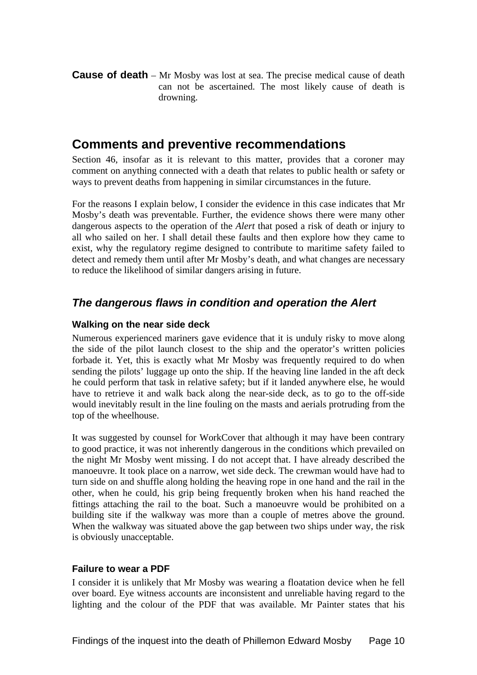<span id="page-11-0"></span>**Cause of death** – Mr Mosby was lost at sea. The precise medical cause of death can not be ascertained. The most likely cause of death is drowning.

## **Comments and preventive recommendations**

Section 46, insofar as it is relevant to this matter, provides that a coroner may comment on anything connected with a death that relates to public health or safety or ways to prevent deaths from happening in similar circumstances in the future.

For the reasons I explain below, I consider the evidence in this case indicates that Mr Mosby's death was preventable. Further, the evidence shows there were many other dangerous aspects to the operation of the *Alert* that posed a risk of death or injury to all who sailed on her. I shall detail these faults and then explore how they came to exist, why the regulatory regime designed to contribute to maritime safety failed to detect and remedy them until after Mr Mosby's death, and what changes are necessary to reduce the likelihood of similar dangers arising in future.

## *The dangerous flaws in condition and operation the Alert*

### **Walking on the near side deck**

Numerous experienced mariners gave evidence that it is unduly risky to move along the side of the pilot launch closest to the ship and the operator's written policies forbade it. Yet, this is exactly what Mr Mosby was frequently required to do when sending the pilots' luggage up onto the ship. If the heaving line landed in the aft deck he could perform that task in relative safety; but if it landed anywhere else, he would have to retrieve it and walk back along the near-side deck, as to go to the off-side would inevitably result in the line fouling on the masts and aerials protruding from the top of the wheelhouse.

It was suggested by counsel for WorkCover that although it may have been contrary to good practice, it was not inherently dangerous in the conditions which prevailed on the night Mr Mosby went missing. I do not accept that. I have already described the manoeuvre. It took place on a narrow, wet side deck. The crewman would have had to turn side on and shuffle along holding the heaving rope in one hand and the rail in the other, when he could, his grip being frequently broken when his hand reached the fittings attaching the rail to the boat. Such a manoeuvre would be prohibited on a building site if the walkway was more than a couple of metres above the ground. When the walkway was situated above the gap between two ships under way, the risk is obviously unacceptable.

### **Failure to wear a PDF**

I consider it is unlikely that Mr Mosby was wearing a floatation device when he fell over board. Eye witness accounts are inconsistent and unreliable having regard to the lighting and the colour of the PDF that was available. Mr Painter states that his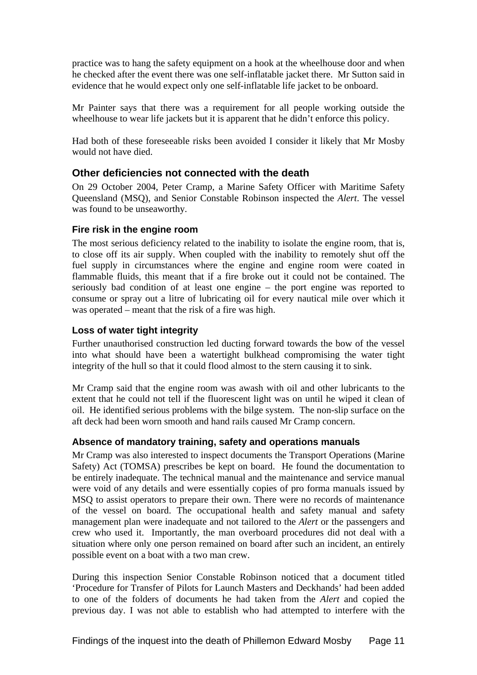<span id="page-12-0"></span>practice was to hang the safety equipment on a hook at the wheelhouse door and when he checked after the event there was one self-inflatable jacket there. Mr Sutton said in evidence that he would expect only one self-inflatable life jacket to be onboard.

Mr Painter says that there was a requirement for all people working outside the wheelhouse to wear life jackets but it is apparent that he didn't enforce this policy.

Had both of these foreseeable risks been avoided I consider it likely that Mr Mosby would not have died.

### **Other deficiencies not connected with the death**

On 29 October 2004, Peter Cramp, a Marine Safety Officer with Maritime Safety Queensland (MSQ), and Senior Constable Robinson inspected the *Alert*. The vessel was found to be unseaworthy.

### **Fire risk in the engine room**

The most serious deficiency related to the inability to isolate the engine room, that is, to close off its air supply. When coupled with the inability to remotely shut off the fuel supply in circumstances where the engine and engine room were coated in flammable fluids, this meant that if a fire broke out it could not be contained. The seriously bad condition of at least one engine – the port engine was reported to consume or spray out a litre of lubricating oil for every nautical mile over which it was operated – meant that the risk of a fire was high.

### **Loss of water tight integrity**

Further unauthorised construction led ducting forward towards the bow of the vessel into what should have been a watertight bulkhead compromising the water tight integrity of the hull so that it could flood almost to the stern causing it to sink.

Mr Cramp said that the engine room was awash with oil and other lubricants to the extent that he could not tell if the fluorescent light was on until he wiped it clean of oil. He identified serious problems with the bilge system. The non-slip surface on the aft deck had been worn smooth and hand rails caused Mr Cramp concern.

### **Absence of mandatory training, safety and operations manuals**

Mr Cramp was also interested to inspect documents the Transport Operations (Marine Safety) Act (TOMSA) prescribes be kept on board. He found the documentation to be entirely inadequate. The technical manual and the maintenance and service manual were void of any details and were essentially copies of pro forma manuals issued by MSQ to assist operators to prepare their own. There were no records of maintenance of the vessel on board. The occupational health and safety manual and safety management plan were inadequate and not tailored to the *Alert* or the passengers and crew who used it. Importantly, the man overboard procedures did not deal with a situation where only one person remained on board after such an incident, an entirely possible event on a boat with a two man crew.

During this inspection Senior Constable Robinson noticed that a document titled 'Procedure for Transfer of Pilots for Launch Masters and Deckhands' had been added to one of the folders of documents he had taken from the *Alert* and copied the previous day. I was not able to establish who had attempted to interfere with the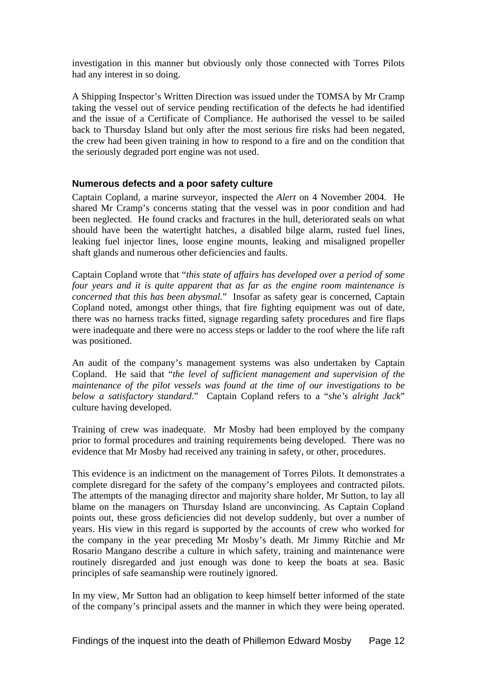<span id="page-13-0"></span>investigation in this manner but obviously only those connected with Torres Pilots had any interest in so doing.

A Shipping Inspector's Written Direction was issued under the TOMSA by Mr Cramp taking the vessel out of service pending rectification of the defects he had identified and the issue of a Certificate of Compliance. He authorised the vessel to be sailed back to Thursday Island but only after the most serious fire risks had been negated, the crew had been given training in how to respond to a fire and on the condition that the seriously degraded port engine was not used.

### **Numerous defects and a poor safety culture**

Captain Copland, a marine surveyor, inspected the *Alert* on 4 November 2004. He shared Mr Cramp's concerns stating that the vessel was in poor condition and had been neglected. He found cracks and fractures in the hull, deteriorated seals on what should have been the watertight hatches, a disabled bilge alarm, rusted fuel lines, leaking fuel injector lines, loose engine mounts, leaking and misaligned propeller shaft glands and numerous other deficiencies and faults.

Captain Copland wrote that "*this state of affairs has developed over a period of some four years and it is quite apparent that as far as the engine room maintenance is concerned that this has been abysmal.*" Insofar as safety gear is concerned, Captain Copland noted, amongst other things, that fire fighting equipment was out of date, there was no harness tracks fitted, signage regarding safety procedures and fire flaps were inadequate and there were no access steps or ladder to the roof where the life raft was positioned.

An audit of the company's management systems was also undertaken by Captain Copland. He said that "*the level of sufficient management and supervision of the maintenance of the pilot vessels was found at the time of our investigations to be below a satisfactory standard*." Captain Copland refers to a "*she's alright Jack*" culture having developed.

Training of crew was inadequate. Mr Mosby had been employed by the company prior to formal procedures and training requirements being developed. There was no evidence that Mr Mosby had received any training in safety, or other, procedures.

This evidence is an indictment on the management of Torres Pilots. It demonstrates a complete disregard for the safety of the company's employees and contracted pilots. The attempts of the managing director and majority share holder, Mr Sutton, to lay all blame on the managers on Thursday Island are unconvincing. As Captain Copland points out, these gross deficiencies did not develop suddenly, but over a number of years. His view in this regard is supported by the accounts of crew who worked for the company in the year preceding Mr Mosby's death. Mr Jimmy Ritchie and Mr Rosario Mangano describe a culture in which safety, training and maintenance were routinely disregarded and just enough was done to keep the boats at sea. Basic principles of safe seamanship were routinely ignored.

In my view, Mr Sutton had an obligation to keep himself better informed of the state of the company's principal assets and the manner in which they were being operated.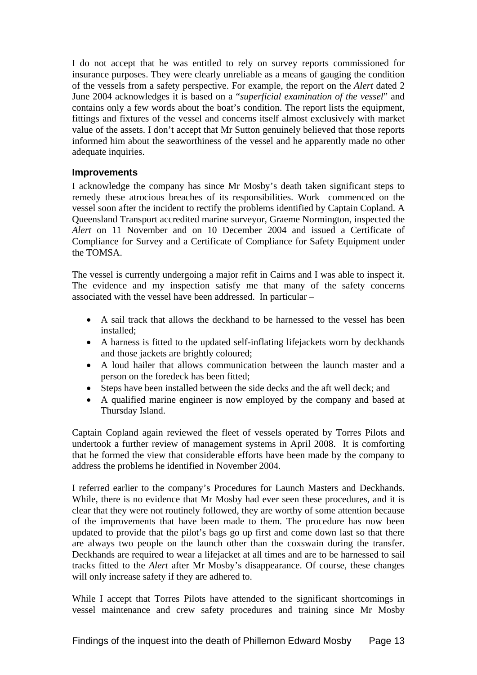<span id="page-14-0"></span>I do not accept that he was entitled to rely on survey reports commissioned for insurance purposes. They were clearly unreliable as a means of gauging the condition of the vessels from a safety perspective. For example, the report on the *Alert* dated 2 June 2004 acknowledges it is based on a "*superficial examination of the vessel*" and contains only a few words about the boat's condition. The report lists the equipment, fittings and fixtures of the vessel and concerns itself almost exclusively with market value of the assets. I don't accept that Mr Sutton genuinely believed that those reports informed him about the seaworthiness of the vessel and he apparently made no other adequate inquiries.

### **Improvements**

I acknowledge the company has since Mr Mosby's death taken significant steps to remedy these atrocious breaches of its responsibilities. Work commenced on the vessel soon after the incident to rectify the problems identified by Captain Copland. A Queensland Transport accredited marine surveyor, Graeme Normington, inspected the *Alert* on 11 November and on 10 December 2004 and issued a Certificate of Compliance for Survey and a Certificate of Compliance for Safety Equipment under the TOMSA.

The vessel is currently undergoing a major refit in Cairns and I was able to inspect it. The evidence and my inspection satisfy me that many of the safety concerns associated with the vessel have been addressed. In particular –

- A sail track that allows the deckhand to be harnessed to the vessel has been installed;
- A harness is fitted to the updated self-inflating lifejackets worn by deckhands and those jackets are brightly coloured;
- A loud hailer that allows communication between the launch master and a person on the foredeck has been fitted;
- Steps have been installed between the side decks and the aft well deck; and
- A qualified marine engineer is now employed by the company and based at Thursday Island.

Captain Copland again reviewed the fleet of vessels operated by Torres Pilots and undertook a further review of management systems in April 2008. It is comforting that he formed the view that considerable efforts have been made by the company to address the problems he identified in November 2004.

I referred earlier to the company's Procedures for Launch Masters and Deckhands. While, there is no evidence that Mr Mosby had ever seen these procedures, and it is clear that they were not routinely followed, they are worthy of some attention because of the improvements that have been made to them. The procedure has now been updated to provide that the pilot's bags go up first and come down last so that there are always two people on the launch other than the coxswain during the transfer. Deckhands are required to wear a lifejacket at all times and are to be harnessed to sail tracks fitted to the *Alert* after Mr Mosby's disappearance. Of course, these changes will only increase safety if they are adhered to.

While I accept that Torres Pilots have attended to the significant shortcomings in vessel maintenance and crew safety procedures and training since Mr Mosby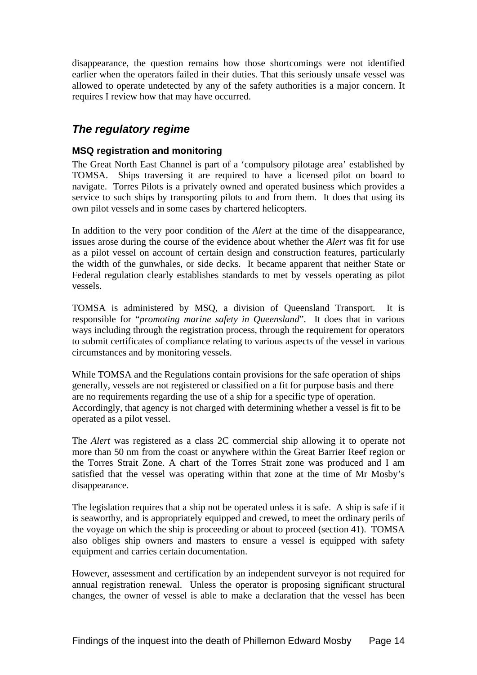<span id="page-15-0"></span>disappearance, the question remains how those shortcomings were not identified earlier when the operators failed in their duties. That this seriously unsafe vessel was allowed to operate undetected by any of the safety authorities is a major concern. It requires I review how that may have occurred.

## *The regulatory regime*

### **MSQ registration and monitoring**

The Great North East Channel is part of a 'compulsory pilotage area' established by TOMSA. Ships traversing it are required to have a licensed pilot on board to navigate. Torres Pilots is a privately owned and operated business which provides a service to such ships by transporting pilots to and from them. It does that using its own pilot vessels and in some cases by chartered helicopters.

In addition to the very poor condition of the *Alert* at the time of the disappearance, issues arose during the course of the evidence about whether the *Alert* was fit for use as a pilot vessel on account of certain design and construction features, particularly the width of the gunwhales, or side decks. It became apparent that neither State or Federal regulation clearly establishes standards to met by vessels operating as pilot vessels.

TOMSA is administered by MSQ, a division of Queensland Transport. It is responsible for "*promoting marine safety in Queensland*". It does that in various ways including through the registration process, through the requirement for operators to submit certificates of compliance relating to various aspects of the vessel in various circumstances and by monitoring vessels.

While TOMSA and the Regulations contain provisions for the safe operation of ships generally, vessels are not registered or classified on a fit for purpose basis and there are no requirements regarding the use of a ship for a specific type of operation. Accordingly, that agency is not charged with determining whether a vessel is fit to be operated as a pilot vessel.

The *Alert* was registered as a class 2C commercial ship allowing it to operate not more than 50 nm from the coast or anywhere within the Great Barrier Reef region or the Torres Strait Zone. A chart of the Torres Strait zone was produced and I am satisfied that the vessel was operating within that zone at the time of Mr Mosby's disappearance.

The legislation requires that a ship not be operated unless it is safe. A ship is safe if it is seaworthy, and is appropriately equipped and crewed, to meet the ordinary perils of the voyage on which the ship is proceeding or about to proceed (section 41). TOMSA also obliges ship owners and masters to ensure a vessel is equipped with safety equipment and carries certain documentation.

However, assessment and certification by an independent surveyor is not required for annual registration renewal. Unless the operator is proposing significant structural changes, the owner of vessel is able to make a declaration that the vessel has been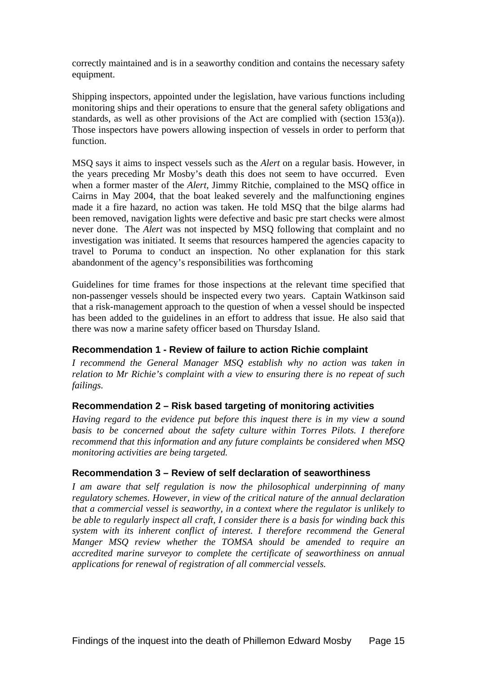<span id="page-16-0"></span>correctly maintained and is in a seaworthy condition and contains the necessary safety equipment.

Shipping inspectors, appointed under the legislation, have various functions including monitoring ships and their operations to ensure that the general safety obligations and standards, as well as other provisions of the Act are complied with (section 153(a)). Those inspectors have powers allowing inspection of vessels in order to perform that function.

MSQ says it aims to inspect vessels such as the *Alert* on a regular basis. However, in the years preceding Mr Mosby's death this does not seem to have occurred. Even when a former master of the *Alert*, Jimmy Ritchie, complained to the MSQ office in Cairns in May 2004, that the boat leaked severely and the malfunctioning engines made it a fire hazard, no action was taken. He told MSQ that the bilge alarms had been removed, navigation lights were defective and basic pre start checks were almost never done. The *Alert* was not inspected by MSQ following that complaint and no investigation was initiated. It seems that resources hampered the agencies capacity to travel to Poruma to conduct an inspection. No other explanation for this stark abandonment of the agency's responsibilities was forthcoming

Guidelines for time frames for those inspections at the relevant time specified that non-passenger vessels should be inspected every two years. Captain Watkinson said that a risk-management approach to the question of when a vessel should be inspected has been added to the guidelines in an effort to address that issue. He also said that there was now a marine safety officer based on Thursday Island.

### **Recommendation 1 - Review of failure to action Richie complaint**

*I recommend the General Manager MSQ establish why no action was taken in relation to Mr Richie's complaint with a view to ensuring there is no repeat of such failings.* 

### **Recommendation 2 – Risk based targeting of monitoring activities**

*Having regard to the evidence put before this inquest there is in my view a sound basis to be concerned about the safety culture within Torres Pilots. I therefore recommend that this information and any future complaints be considered when MSQ monitoring activities are being targeted.* 

### **Recommendation 3 – Review of self declaration of seaworthiness**

*I am aware that self regulation is now the philosophical underpinning of many regulatory schemes. However, in view of the critical nature of the annual declaration that a commercial vessel is seaworthy, in a context where the regulator is unlikely to be able to regularly inspect all craft, I consider there is a basis for winding back this system with its inherent conflict of interest. I therefore recommend the General Manger MSQ review whether the TOMSA should be amended to require an accredited marine surveyor to complete the certificate of seaworthiness on annual applications for renewal of registration of all commercial vessels.*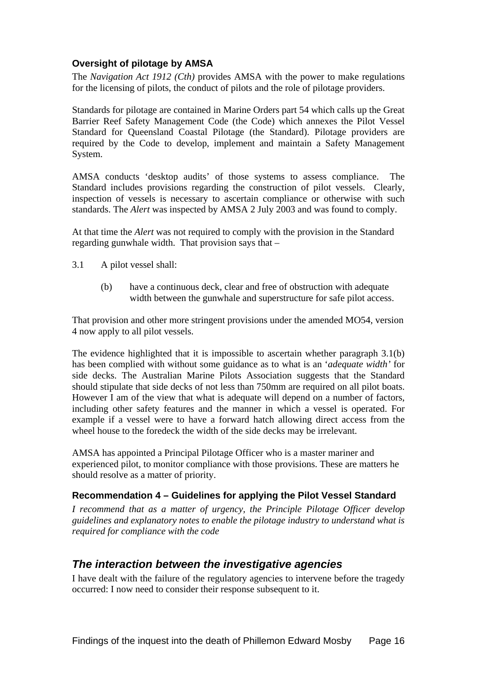### <span id="page-17-0"></span>**Oversight of pilotage by AMSA**

The *Navigation Act 1912 (Cth)* provides AMSA with the power to make regulations for the licensing of pilots, the conduct of pilots and the role of pilotage providers.

Standards for pilotage are contained in Marine Orders part 54 which calls up the Great Barrier Reef Safety Management Code (the Code) which annexes the Pilot Vessel Standard for Queensland Coastal Pilotage (the Standard). Pilotage providers are required by the Code to develop, implement and maintain a Safety Management System.

AMSA conducts 'desktop audits' of those systems to assess compliance. The Standard includes provisions regarding the construction of pilot vessels. Clearly, inspection of vessels is necessary to ascertain compliance or otherwise with such standards. The *Alert* was inspected by AMSA 2 July 2003 and was found to comply.

At that time the *Alert* was not required to comply with the provision in the Standard regarding gunwhale width. That provision says that –

- 3.1 A pilot vessel shall:
	- (b) have a continuous deck, clear and free of obstruction with adequate width between the gunwhale and superstructure for safe pilot access.

That provision and other more stringent provisions under the amended MO54, version 4 now apply to all pilot vessels.

The evidence highlighted that it is impossible to ascertain whether paragraph 3.1(b) has been complied with without some guidance as to what is an '*adequate width'* for side decks. The Australian Marine Pilots Association suggests that the Standard should stipulate that side decks of not less than 750mm are required on all pilot boats. However I am of the view that what is adequate will depend on a number of factors, including other safety features and the manner in which a vessel is operated. For example if a vessel were to have a forward hatch allowing direct access from the wheel house to the foredeck the width of the side decks may be irrelevant.

AMSA has appointed a Principal Pilotage Officer who is a master mariner and experienced pilot, to monitor compliance with those provisions. These are matters he should resolve as a matter of priority.

### **Recommendation 4 – Guidelines for applying the Pilot Vessel Standard**

*I recommend that as a matter of urgency, the Principle Pilotage Officer develop guidelines and explanatory notes to enable the pilotage industry to understand what is required for compliance with the code* 

## *The interaction between the investigative agencies*

I have dealt with the failure of the regulatory agencies to intervene before the tragedy occurred: I now need to consider their response subsequent to it.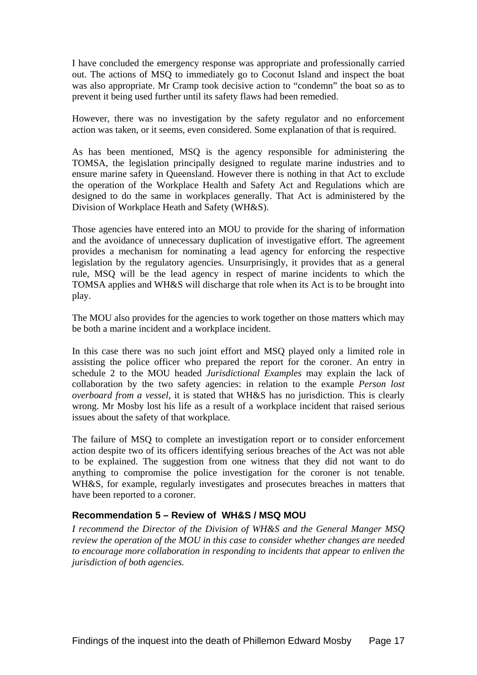<span id="page-18-0"></span>I have concluded the emergency response was appropriate and professionally carried out. The actions of MSQ to immediately go to Coconut Island and inspect the boat was also appropriate. Mr Cramp took decisive action to "condemn" the boat so as to prevent it being used further until its safety flaws had been remedied.

However, there was no investigation by the safety regulator and no enforcement action was taken, or it seems, even considered. Some explanation of that is required.

As has been mentioned, MSQ is the agency responsible for administering the TOMSA, the legislation principally designed to regulate marine industries and to ensure marine safety in Queensland. However there is nothing in that Act to exclude the operation of the Workplace Health and Safety Act and Regulations which are designed to do the same in workplaces generally. That Act is administered by the Division of Workplace Heath and Safety (WH&S).

Those agencies have entered into an MOU to provide for the sharing of information and the avoidance of unnecessary duplication of investigative effort. The agreement provides a mechanism for nominating a lead agency for enforcing the respective legislation by the regulatory agencies. Unsurprisingly, it provides that as a general rule, MSQ will be the lead agency in respect of marine incidents to which the TOMSA applies and WH&S will discharge that role when its Act is to be brought into play.

The MOU also provides for the agencies to work together on those matters which may be both a marine incident and a workplace incident.

In this case there was no such joint effort and MSQ played only a limited role in assisting the police officer who prepared the report for the coroner. An entry in schedule 2 to the MOU headed *Jurisdictional Examples* may explain the lack of collaboration by the two safety agencies: in relation to the example *Person lost overboard from a vessel,* it is stated that WH&S has no jurisdiction. This is clearly wrong. Mr Mosby lost his life as a result of a workplace incident that raised serious issues about the safety of that workplace.

The failure of MSQ to complete an investigation report or to consider enforcement action despite two of its officers identifying serious breaches of the Act was not able to be explained. The suggestion from one witness that they did not want to do anything to compromise the police investigation for the coroner is not tenable. WH&S, for example, regularly investigates and prosecutes breaches in matters that have been reported to a coroner.

### **Recommendation 5 – Review of WH&S / MSQ MOU**

*I recommend the Director of the Division of WH&S and the General Manger MSQ review the operation of the MOU in this case to consider whether changes are needed to encourage more collaboration in responding to incidents that appear to enliven the jurisdiction of both agencies.*